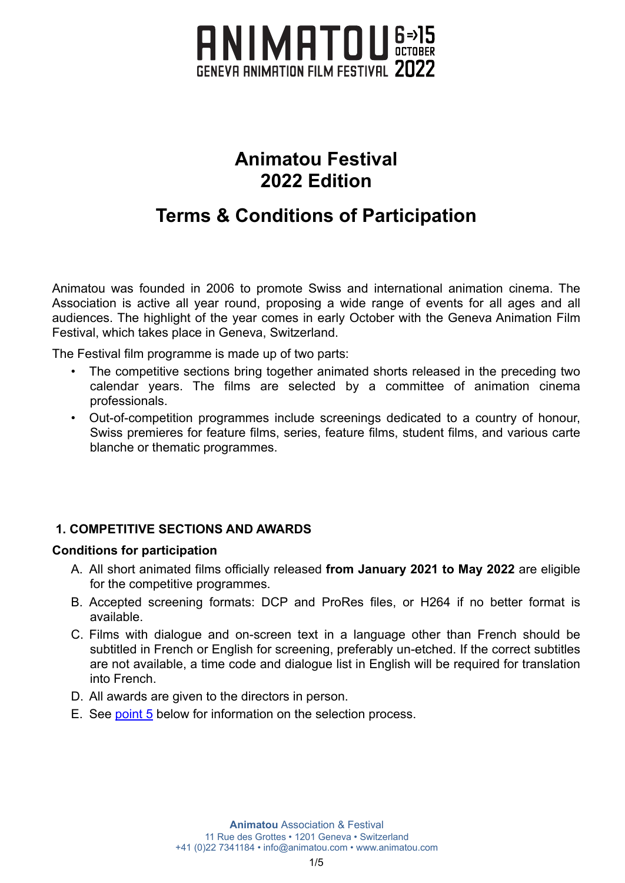

# **Animatou Festival 2022 Edition**

# **Terms & Conditions of Participation**

Animatou was founded in 2006 to promote Swiss and international animation cinema. The Association is active all year round, proposing a wide range of events for all ages and all audiences. The highlight of the year comes in early October with the Geneva Animation Film Festival, which takes place in Geneva, Switzerland.

The Festival film programme is made up of two parts:

- The competitive sections bring together animated shorts released in the preceding two calendar years. The films are selected by a committee of animation cinema professionals.
- Out-of-competition programmes include screenings dedicated to a country of honour, Swiss premieres for feature films, series, feature films, student films, and various carte blanche or thematic programmes.

# **1. COMPETITIVE SECTIONS AND AWARDS**

#### **Conditions for participation**

- A. All short animated films officially released **from January 2021 to May 2022** are eligible for the competitive programmes.
- B. Accepted screening formats: DCP and ProRes files, or H264 if no better format is available.
- C. Films with dialogue and on-screen text in a language other than French should be subtitled in French or English for screening, preferably un-etched. If the correct subtitles are not available, a time code and dialogue list in English will be required for translation into French.
- D. All awards are given to the directors in person.
- E. See [point 5](#page-3-0) below for information on the selection process.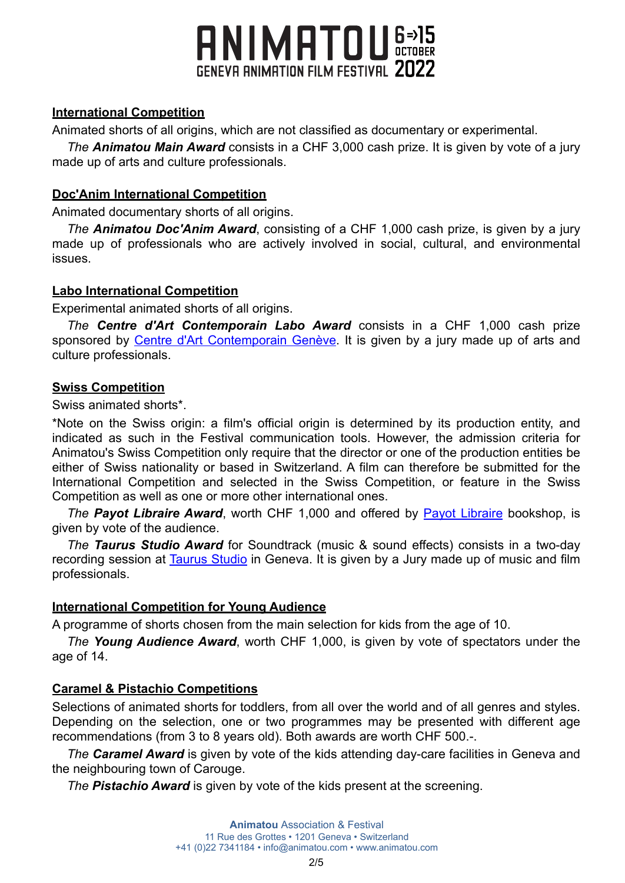

## **International Competition**

Animated shorts of all origins, which are not classified as documentary or experimental.

*The Animatou Main Award* consists in a CHF 3,000 cash prize. It is given by vote of a jury made up of arts and culture professionals.

## **Doc'Anim International Competition**

Animated documentary shorts of all origins.

*The Animatou Doc'Anim Award*, consisting of a CHF 1,000 cash prize, is given by a jury made up of professionals who are actively involved in social, cultural, and environmental issues.

# **Labo International Competition**

Experimental animated shorts of all origins.

*The Centre d'Art Contemporain Labo Award* consists in a CHF 1,000 cash prize sponsored by [Centre d'Art Contemporain Genève](https://centre.ch/en/). It is given by a jury made up of arts and culture professionals.

## **Swiss Competition**

Swiss animated shorts\*.

\*Note on the Swiss origin: a film's official origin is determined by its production entity, and indicated as such in the Festival communication tools. However, the admission criteria for Animatou's Swiss Competition only require that the director or one of the production entities be either of Swiss nationality or based in Switzerland. A film can therefore be submitted for the International Competition and selected in the Swiss Competition, or feature in the Swiss Competition as well as one or more other international ones.

*The Payot Libraire Award*, worth CHF 1,000 and offered by [Payot Libraire](https://www.payot.ch/fr/accueil) bookshop, is given by vote of the audience.

*The Taurus Studio Award* for Soundtrack (music & sound effects) consists in a two-day recording session at **Taurus Studio** in Geneva. It is given by a Jury made up of music and film professionals.

# **International Competition for Young Audience**

A programme of shorts chosen from the main selection for kids from the age of 10.

*The Young Audience Award*, worth CHF 1,000, is given by vote of spectators under the age of 14.

# **Caramel & Pistachio Competitions**

Selections of animated shorts for toddlers, from all over the world and of all genres and styles. Depending on the selection, one or two programmes may be presented with different age recommendations (from 3 to 8 years old). Both awards are worth CHF 500.-.

*The Caramel Award* is given by vote of the kids attending day-care facilities in Geneva and the neighbouring town of Carouge.

*The Pistachio Award* is given by vote of the kids present at the screening.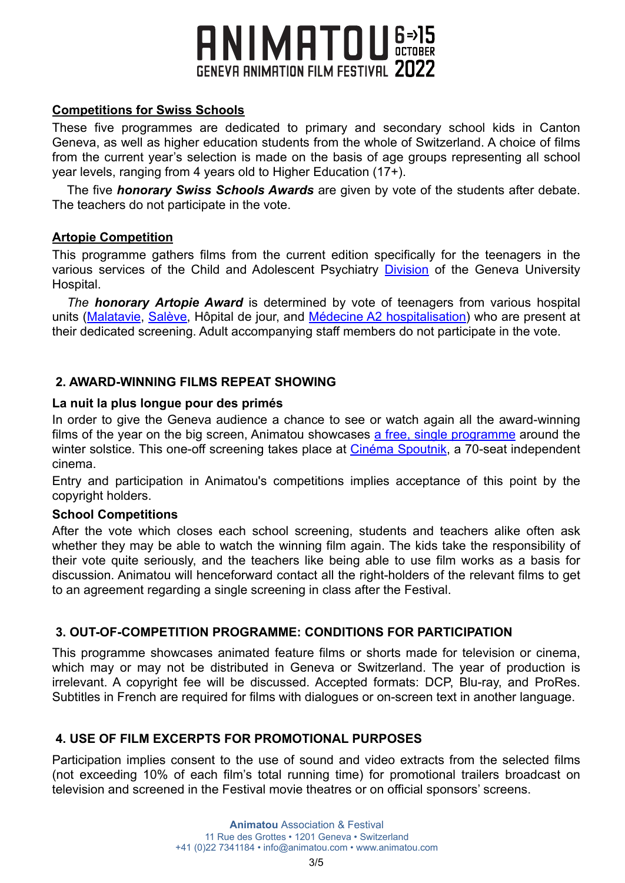# **ANIMATOU** GENEVA ANIMATION FILM FESTIVAL 2022

## **Competitions for Swiss Schools**

These five programmes are dedicated to primary and secondary school kids in Canton Geneva, as well as higher education students from the whole of Switzerland. A choice of films from the current year's selection is made on the basis of age groups representing all school year levels, ranging from 4 years old to Higher Education (17+).

The five *honorary Swiss Schools Awards* are given by vote of the students after debate. The teachers do not participate in the vote.

## **Artopie Competition**

This programme gathers films from the current edition specifically for the teenagers in the various services of the Child and Adolescent Psychiatry [Division](https://www.hug.ch/en/child-and-adolescent-psychiatry) of the Geneva University Hospital.

*The honorary Artopie Award* is determined by vote of teenagers from various hospital units ([Malatavie](http://www.malatavie.ch/), [Salève](https://www.hug-ge.ch/psychiatrie-enfant-adolescent/saleve), Hôpital de jour, and [Médecine A2 hospitalisation](https://www.hug.ch/psychiatrie-de-lenfant-et-de-ladolescent/evaluation)) who are present at their dedicated screening. Adult accompanying staff members do not participate in the vote.

# **2. AWARD-WINNING FILMS REPEAT SHOWING**

#### **La nuit la plus longue pour des primés**

In order to give the Geneva audience a chance to see or watch again all the award-winning films of the year on the big screen, Animatou showcases [a free, single programme](https://animatou.com/event/la-nuit-la-plus-longue-pour-des-primes-2019/) around the winter solstice. This one-off screening takes place at [Cinéma Spoutnik,](http://spoutnik.info/) a 70-seat independent cinema.

Entry and participation in Animatou's competitions implies acceptance of this point by the copyright holders.

#### **School Competitions**

After the vote which closes each school screening, students and teachers alike often ask whether they may be able to watch the winning film again. The kids take the responsibility of their vote quite seriously, and the teachers like being able to use film works as a basis for discussion. Animatou will henceforward contact all the right-holders of the relevant films to get to an agreement regarding a single screening in class after the Festival.

# **3. OUT-OF-COMPETITION PROGRAMME: CONDITIONS FOR PARTICIPATION**

This programme showcases animated feature films or shorts made for television or cinema, which may or may not be distributed in Geneva or Switzerland. The year of production is irrelevant. A copyright fee will be discussed. Accepted formats: DCP, Blu-ray, and ProRes. Subtitles in French are required for films with dialogues or on-screen text in another language.

# **4. USE OF FILM EXCERPTS FOR PROMOTIONAL PURPOSES**

Participation implies consent to the use of sound and video extracts from the selected films (not exceeding 10% of each film's total running time) for promotional trailers broadcast on television and screened in the Festival movie theatres or on official sponsors' screens.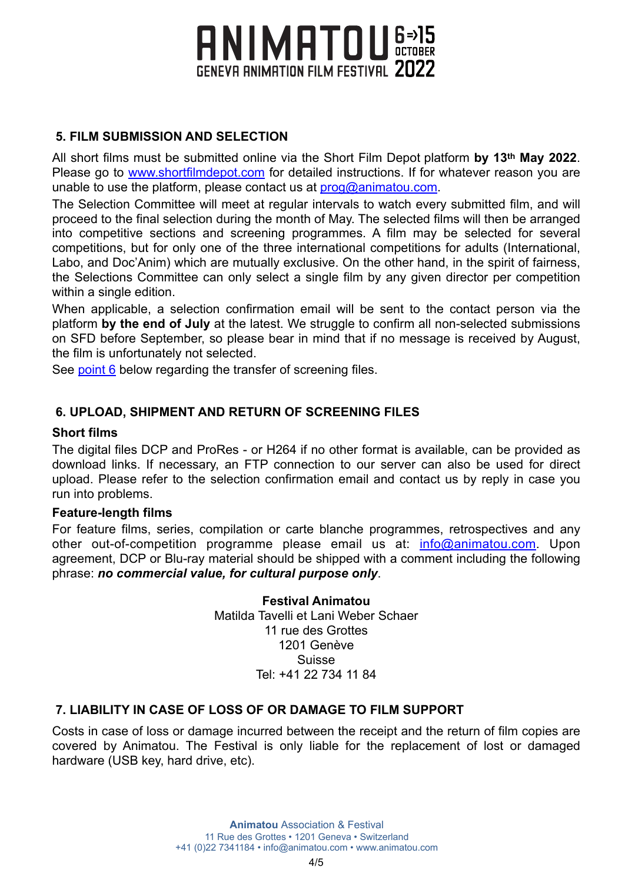# **ANIMATOU** 6=>15 **GENEVA ANIMATION FILM FESTIVAL 2022**

# <span id="page-3-0"></span>**5. FILM SUBMISSION AND SELECTION**

All short films must be submitted online via the Short Film Depot platform **by 13th May 2022**. Please go to [www.shortfilmdepot.com](http://www.shortfilmdepot.com) for detailed instructions. If for whatever reason you are unable to use the platform, please contact us at [prog@animatou.com.](mailto:no_reply@apple.com)

The Selection Committee will meet at regular intervals to watch every submitted film, and will proceed to the final selection during the month of May. The selected films will then be arranged into competitive sections and screening programmes. A film may be selected for several competitions, but for only one of the three international competitions for adults (International, Labo, and Doc'Anim) which are mutually exclusive. On the other hand, in the spirit of fairness, the Selections Committee can only select a single film by any given director per competition within a single edition.

When applicable, a selection confirmation email will be sent to the contact person via the platform **by the end of July** at the latest. We struggle to confirm all non-selected submissions on SFD before September, so please bear in mind that if no message is received by August, the film is unfortunately not selected.

See [point 6](#page-3-1) below regarding the transfer of screening files.

# <span id="page-3-1"></span>**6. UPLOAD, SHIPMENT AND RETURN OF SCREENING FILES**

#### **Short films**

The digital files DCP and ProRes - or H264 if no other format is available, can be provided as download links. If necessary, an FTP connection to our server can also be used for direct upload. Please refer to the selection confirmation email and contact us by reply in case you run into problems.

#### **Feature-length films**

For feature films, series, compilation or carte blanche programmes, retrospectives and any other out-of-competition programme please email us at: [info@animatou.com.](mailto:info@animatou.com) Upon agreement, DCP or Blu-ray material should be shipped with a comment including the following phrase: *no commercial value, for cultural purpose only*.

> **Festival Animatou** Matilda Tavelli et Lani Weber Schaer 11 rue des Grottes 1201 Genève Suisse Tel: +41 22 734 11 84

# **7. LIABILITY IN CASE OF LOSS OF OR DAMAGE TO FILM SUPPORT**

Costs in case of loss or damage incurred between the receipt and the return of film copies are covered by Animatou. The Festival is only liable for the replacement of lost or damaged hardware (USB key, hard drive, etc).